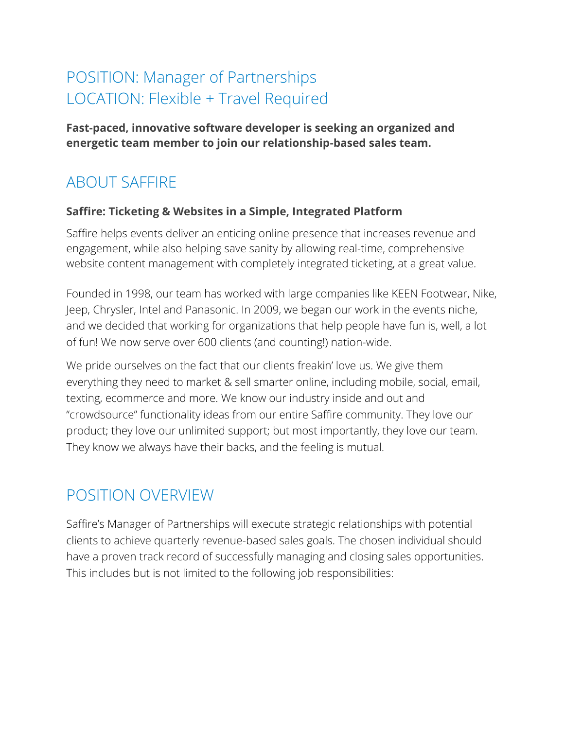# POSITION: Manager of Partnerships LOCATION: Flexible + Travel Required

**Fast-paced, innovative software developer is seeking an organized and energetic team member to join our relationship-based sales team.** 

# ABOUT SAFFIRE

#### **Saffire: Ticketing & Websites in a Simple, Integrated Platform**

Saffire helps events deliver an enticing online presence that increases revenue and engagement, while also helping save sanity by allowing real-time, comprehensive website content management with completely integrated ticketing, at a great value.

Founded in 1998, our team has worked with large companies like KEEN Footwear, Nike, Jeep, Chrysler, Intel and Panasonic. In 2009, we began our work in the events niche, and we decided that working for organizations that help people have fun is, well, a lot of fun! We now serve over 600 clients (and counting!) nation-wide.

We pride ourselves on the fact that our clients freakin' love us. We give them everything they need to market & sell smarter online, including mobile, social, email, texting, ecommerce and more. We know our industry inside and out and "crowdsource" functionality ideas from our entire Saffire community. They love our product; they love our unlimited support; but most importantly, they love our team. They know we always have their backs, and the feeling is mutual.

### POSITION OVERVIEW

Saffire's Manager of Partnerships will execute strategic relationships with potential clients to achieve quarterly revenue-based sales goals. The chosen individual should have a proven track record of successfully managing and closing sales opportunities. This includes but is not limited to the following job responsibilities: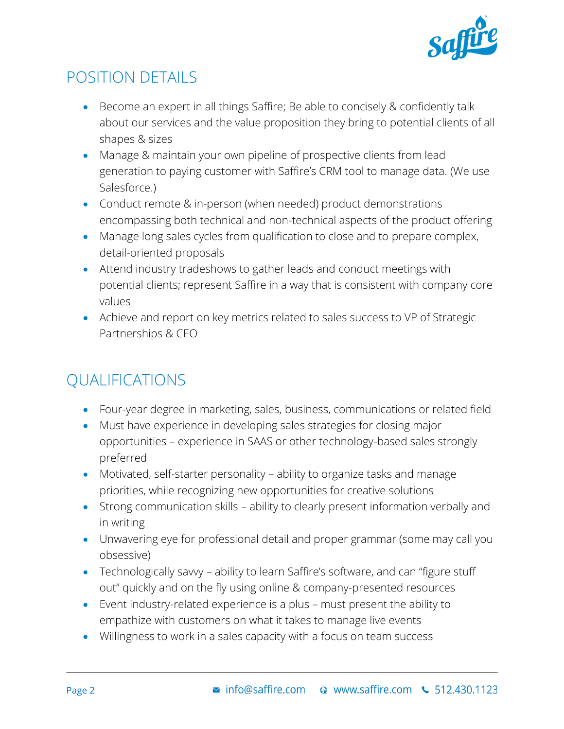

## POSITION DETAILS

- Become an expert in all things Saffire; Be able to concisely & confidently talk about our services and the value proposition they bring to potential clients of all shapes & sizes
- Manage & maintain your own pipeline of prospective clients from lead generation to paying customer with Saffire's CRM tool to manage data. (We use Salesforce.)
- Conduct remote & in-person (when needed) product demonstrations encompassing both technical and non-technical aspects of the product offering
- Manage long sales cycles from qualification to close and to prepare complex, detail-oriented proposals
- Attend industry tradeshows to gather leads and conduct meetings with potential clients; represent Saffire in a way that is consistent with company core values
- Achieve and report on key metrics related to sales success to VP of Strategic Partnerships & CEO

# QUALIFICATIONS

- Four-year degree in marketing, sales, business, communications or related field
- Must have experience in developing sales strategies for closing major opportunities – experience in SAAS or other technology-based sales strongly preferred
- Motivated, self-starter personality ability to organize tasks and manage priorities, while recognizing new opportunities for creative solutions
- Strong communication skills ability to clearly present information verbally and in writing
- Unwavering eye for professional detail and proper grammar (some may call you obsessive)
- Technologically savvy ability to learn Saffire's software, and can "figure stuff out" quickly and on the fly using online & company-presented resources
- Event industry-related experience is a plus must present the ability to empathize with customers on what it takes to manage live events
- Willingness to work in a sales capacity with a focus on team success